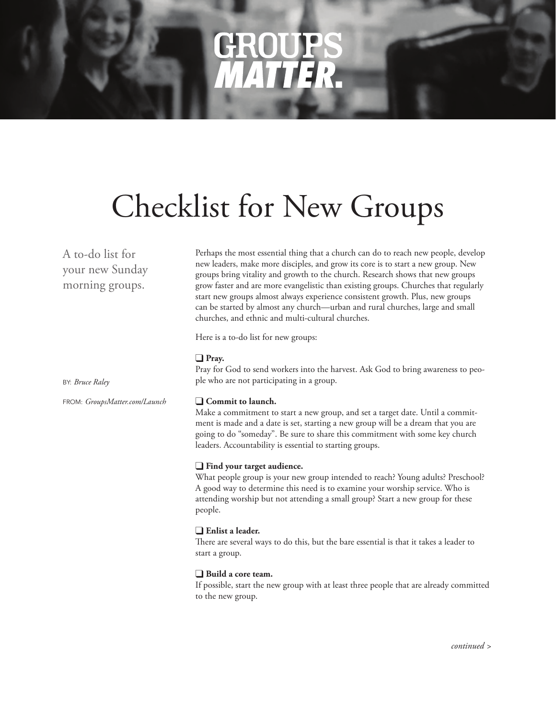# **CEROL** *MATTER*

# Checklist for New Groups

A to-do list for your new Sunday morning groups.

Perhaps the most essential thing that a church can do to reach new people, develop new leaders, make more disciples, and grow its core is to start a new group. New groups bring vitality and growth to the church. Research shows that new groups grow faster and are more evangelistic than existing groups. Churches that regularly start new groups almost always experience consistent growth. Plus, new groups can be started by almost any church—urban and rural churches, large and small churches, and ethnic and multi-cultural churches.

Here is a to-do list for new groups:

### □ Pray.

Pray for God to send workers into the harvest. Ask God to bring awareness to people who are not participating in a group.

### $\Box$  Commit to launch.

Make a commitment to start a new group, and set a target date. Until a commitment is made and a date is set, starting a new group will be a dream that you are going to do "someday". Be sure to share this commitment with some key church leaders. Accountability is essential to starting groups.

## $\Box$  **Find your target audience.**

What people group is your new group intended to reach? Young adults? Preschool? A good way to determine this need is to examine your worship service. Who is attending worship but not attending a small group? Start a new group for these people.

## **Enlist a leader.**

There are several ways to do this, but the bare essential is that it takes a leader to start a group.

## **a** Build a core team.

If possible, start the new group with at least three people that are already committed to the new group.

BY: *Bruce Raley*

FROM: *GroupsMatter.com/Launch*